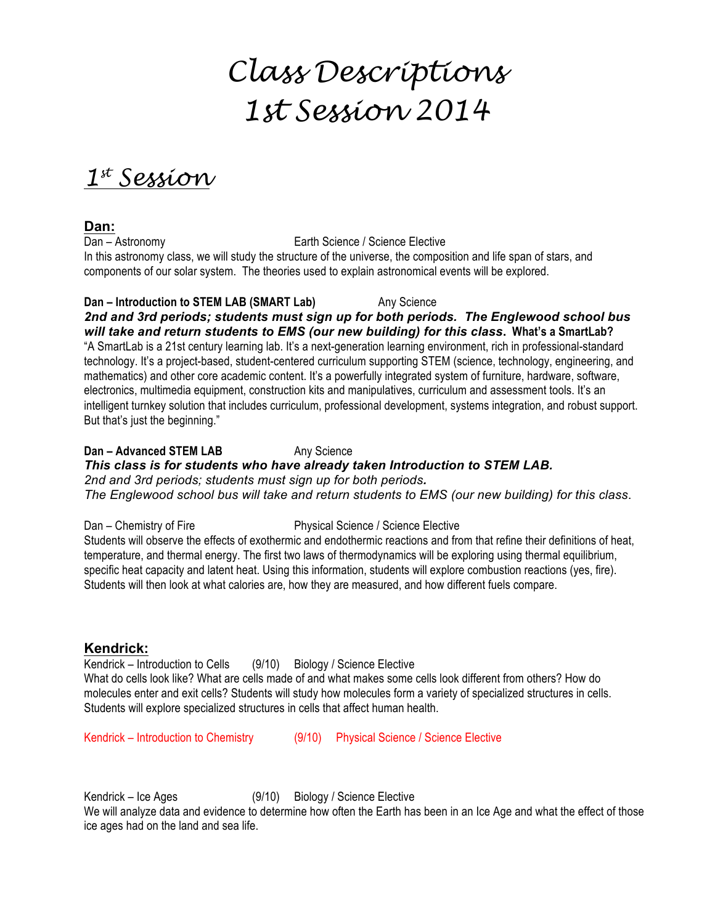# *Class Descriptions 1st Session 2014*

*1st Session*

**Dan:**

Dan – Astronomy Earth Science / Science Elective In this astronomy class, we will study the structure of the universe, the composition and life span of stars, and components of our solar system. The theories used to explain astronomical events will be explored.

**Dan – Introduction to STEM LAB (SMART Lab)** Any Science *2nd and 3rd periods; students must sign up for both periods. The Englewood school bus will take and return students to EMS (our new building) for this class***. What's a SmartLab?** "A SmartLab is a 21st century learning lab. It's a next-generation learning environment, rich in professional-standard technology. It's a project-based, student-centered curriculum supporting STEM (science, technology, engineering, and mathematics) and other core academic content. It's a powerfully integrated system of furniture, hardware, software, electronics, multimedia equipment, construction kits and manipulatives, curriculum and assessment tools. It's an intelligent turnkey solution that includes curriculum, professional development, systems integration, and robust support. But that's just the beginning."

**Dan – Advanced STEM LAB** Any Science *This class is for students who have already taken Introduction to STEM LAB. 2nd and 3rd periods; students must sign up for both periods. The Englewood school bus will take and return students to EMS (our new building) for this class*.

Dan – Chemistry of Fire Physical Science / Science Elective Students will observe the effects of exothermic and endothermic reactions and from that refine their definitions of heat, temperature, and thermal energy. The first two laws of thermodynamics will be exploring using thermal equilibrium, specific heat capacity and latent heat. Using this information, students will explore combustion reactions (yes, fire). Students will then look at what calories are, how they are measured, and how different fuels compare.

# **Kendrick:**

Kendrick – Introduction to Cells (9/10) Biology / Science Elective What do cells look like? What are cells made of and what makes some cells look different from others? How do molecules enter and exit cells? Students will study how molecules form a variety of specialized structures in cells. Students will explore specialized structures in cells that affect human health.

Kendrick – Introduction to Chemistry (9/10) Physical Science / Science Elective

Kendrick – Ice Ages (9/10) Biology / Science Elective

We will analyze data and evidence to determine how often the Earth has been in an Ice Age and what the effect of those ice ages had on the land and sea life.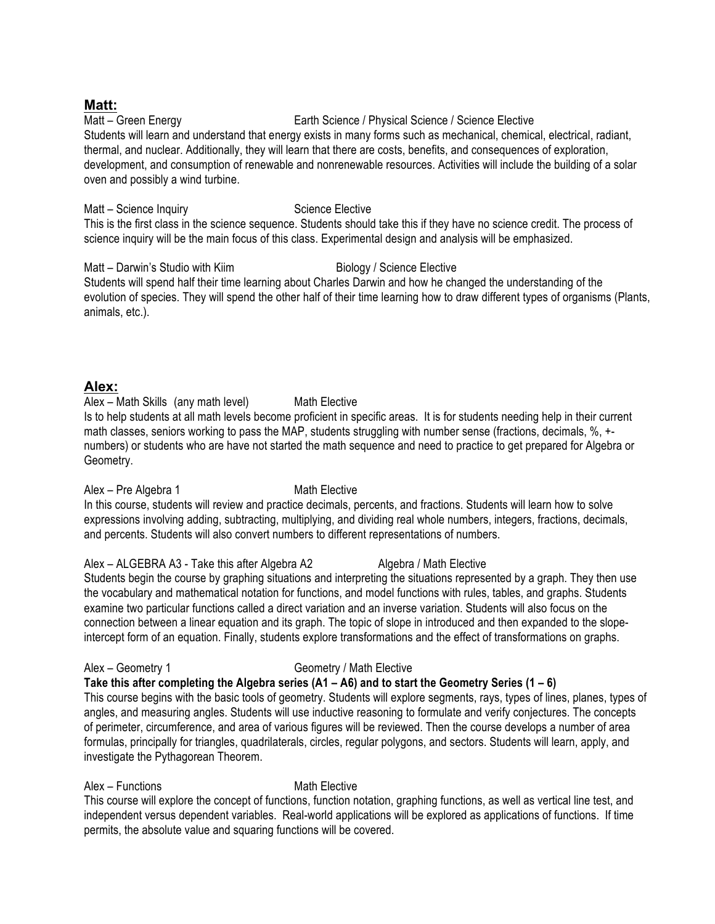# **Matt:**

### Matt – Green Energy Earth Science / Physical Science / Science Elective

Students will learn and understand that energy exists in many forms such as mechanical, chemical, electrical, radiant, thermal, and nuclear. Additionally, they will learn that there are costs, benefits, and consequences of exploration, development, and consumption of renewable and nonrenewable resources. Activities will include the building of a solar oven and possibly a wind turbine.

Matt – Science Inquiry **Science Elective** Science Elective

This is the first class in the science sequence. Students should take this if they have no science credit. The process of science inquiry will be the main focus of this class. Experimental design and analysis will be emphasized.

# Matt – Darwin's Studio with Kiim Biology / Science Elective

Students will spend half their time learning about Charles Darwin and how he changed the understanding of the evolution of species. They will spend the other half of their time learning how to draw different types of organisms (Plants, animals, etc.).

# **Alex:**

Alex – Math Skills (any math level) Math Elective Is to help students at all math levels become proficient in specific areas. It is for students needing help in their current math classes, seniors working to pass the MAP, students struggling with number sense (fractions, decimals, %, + numbers) or students who are have not started the math sequence and need to practice to get prepared for Algebra or Geometry.

Alex – Pre Algebra 1 Math Elective

In this course, students will review and practice decimals, percents, and fractions. Students will learn how to solve expressions involving adding, subtracting, multiplying, and dividing real whole numbers, integers, fractions, decimals, and percents. Students will also convert numbers to different representations of numbers.

Alex – ALGEBRA A3 - Take this after Algebra A2 Algebra / Math Elective Students begin the course by graphing situations and interpreting the situations represented by a graph. They then use the vocabulary and mathematical notation for functions, and model functions with rules, tables, and graphs. Students examine two particular functions called a direct variation and an inverse variation. Students will also focus on the connection between a linear equation and its graph. The topic of slope in introduced and then expanded to the slopeintercept form of an equation. Finally, students explore transformations and the effect of transformations on graphs.

# Alex – Geometry 1 Geometry / Math Elective

# **Take this after completing the Algebra series (A1 – A6) and to start the Geometry Series (1 – 6)**

This course begins with the basic tools of geometry. Students will explore segments, rays, types of lines, planes, types of angles, and measuring angles. Students will use inductive reasoning to formulate and verify conjectures. The concepts of perimeter, circumference, and area of various figures will be reviewed. Then the course develops a number of area formulas, principally for triangles, quadrilaterals, circles, regular polygons, and sectors. Students will learn, apply, and investigate the Pythagorean Theorem.

# Alex – Functions Math Elective

This course will explore the concept of functions, function notation, graphing functions, as well as vertical line test, and independent versus dependent variables. Real-world applications will be explored as applications of functions. If time permits, the absolute value and squaring functions will be covered.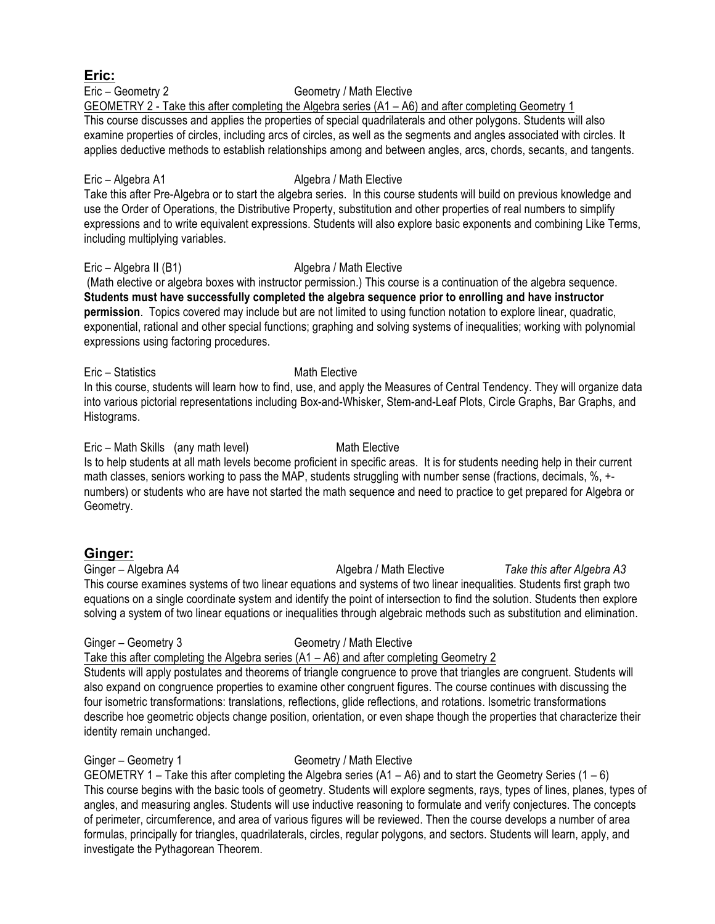Eric – Geometry 2 Geometry / Math Elective GEOMETRY 2 - Take this after completing the Algebra series (A1 – A6) and after completing Geometry 1 This course discusses and applies the properties of special quadrilaterals and other polygons. Students will also examine properties of circles, including arcs of circles, as well as the segments and angles associated with circles. It

applies deductive methods to establish relationships among and between angles, arcs, chords, secants, and tangents.

# Eric – Algebra A1 Algebra / Math Elective

Take this after Pre-Algebra or to start the algebra series. In this course students will build on previous knowledge and use the Order of Operations, the Distributive Property, substitution and other properties of real numbers to simplify expressions and to write equivalent expressions. Students will also explore basic exponents and combining Like Terms, including multiplying variables.

### Eric – Algebra II (B1) Algebra / Math Elective

(Math elective or algebra boxes with instructor permission.) This course is a continuation of the algebra sequence. **Students must have successfully completed the algebra sequence prior to enrolling and have instructor permission**. Topics covered may include but are not limited to using function notation to explore linear, quadratic, exponential, rational and other special functions; graphing and solving systems of inequalities; working with polynomial expressions using factoring procedures.

Eric – Statistics Math Elective

In this course, students will learn how to find, use, and apply the Measures of Central Tendency. They will organize data into various pictorial representations including Box-and-Whisker, Stem-and-Leaf Plots, Circle Graphs, Bar Graphs, and Histograms.

Eric – Math Skills (any math level) Math Elective Is to help students at all math levels become proficient in specific areas. It is for students needing help in their current math classes, seniors working to pass the MAP, students struggling with number sense (fractions, decimals, %, + numbers) or students who are have not started the math sequence and need to practice to get prepared for Algebra or Geometry.

# **Ginger:**

Ginger – Algebra A4 **Algebra** *Algebra / Math Elective**Take this after Algebra A3* This course examines systems of two linear equations and systems of two linear inequalities. Students first graph two equations on a single coordinate system and identify the point of intersection to find the solution. Students then explore solving a system of two linear equations or inequalities through algebraic methods such as substitution and elimination.

# Ginger – Geometry 3 Geometry / Math Elective

# Take this after completing the Algebra series (A1 – A6) and after completing Geometry 2

Students will apply postulates and theorems of triangle congruence to prove that triangles are congruent. Students will also expand on congruence properties to examine other congruent figures. The course continues with discussing the four isometric transformations: translations, reflections, glide reflections, and rotations. Isometric transformations describe hoe geometric objects change position, orientation, or even shape though the properties that characterize their identity remain unchanged.

# Ginger – Geometry 1 Geometry / Math Elective

GEOMETRY 1 – Take this after completing the Algebra series (A1 – A6) and to start the Geometry Series (1 – 6) This course begins with the basic tools of geometry. Students will explore segments, rays, types of lines, planes, types of angles, and measuring angles. Students will use inductive reasoning to formulate and verify conjectures. The concepts of perimeter, circumference, and area of various figures will be reviewed. Then the course develops a number of area formulas, principally for triangles, quadrilaterals, circles, regular polygons, and sectors. Students will learn, apply, and investigate the Pythagorean Theorem.

# **Eric:**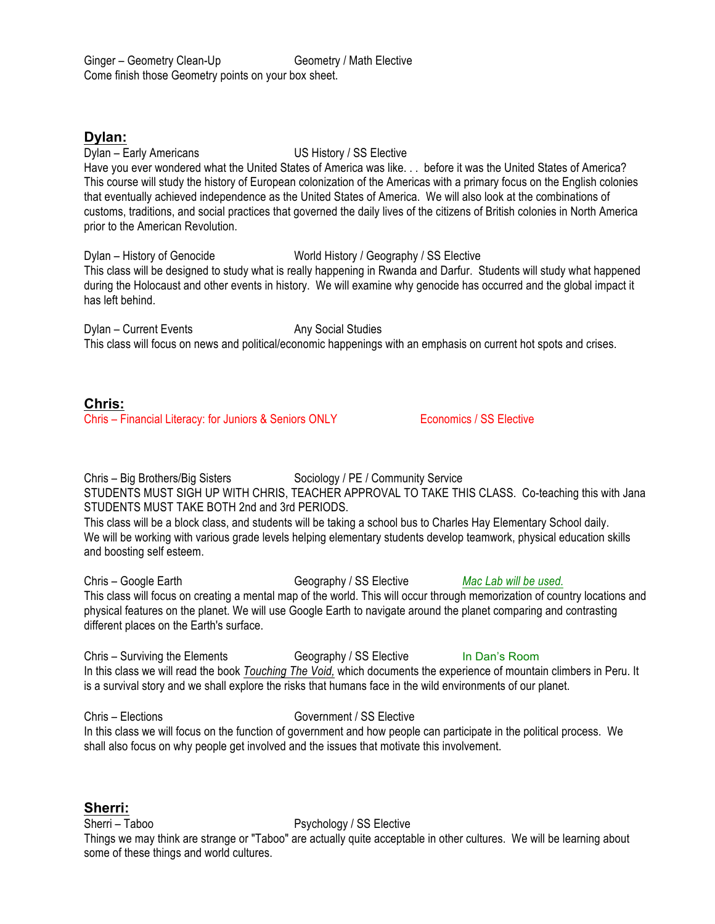# **Dylan:**

Dylan – Early Americans US History / SS Elective

Have you ever wondered what the United States of America was like. . . before it was the United States of America? This course will study the history of European colonization of the Americas with a primary focus on the English colonies that eventually achieved independence as the United States of America. We will also look at the combinations of customs, traditions, and social practices that governed the daily lives of the citizens of British colonies in North America prior to the American Revolution.

Dylan – History of Genocide World History / Geography / SS Elective This class will be designed to study what is really happening in Rwanda and Darfur. Students will study what happened during the Holocaust and other events in history. We will examine why genocide has occurred and the global impact it has left behind.

Dylan – Current Events Any Social Studies This class will focus on news and political/economic happenings with an emphasis on current hot spots and crises.

# **Chris:**

Chris – Financial Literacy: for Juniors & Seniors ONLY Economics / SS Elective

Chris – Big Brothers/Big Sisters Sociology / PE / Community Service STUDENTS MUST SIGH UP WITH CHRIS, TEACHER APPROVAL TO TAKE THIS CLASS. Co-teaching this with Jana STUDENTS MUST TAKE BOTH 2nd and 3rd PERIODS.

This class will be a block class, and students will be taking a school bus to Charles Hay Elementary School daily. We will be working with various grade levels helping elementary students develop teamwork, physical education skills and boosting self esteem.

Chris – Google Earth Geography / SS Elective *Mac Lab will be used.* This class will focus on creating a mental map of the world. This will occur through memorization of country locations and physical features on the planet. We will use Google Earth to navigate around the planet comparing and contrasting different places on the Earth's surface.

Chris – Surviving the Elements Geography / SS Elective In Dan's Room In this class we will read the book *Touching The Void,* which documents the experience of mountain climbers in Peru. It is a survival story and we shall explore the risks that humans face in the wild environments of our planet.

Chris – Elections Government / SS Elective In this class we will focus on the function of government and how people can participate in the political process. We shall also focus on why people get involved and the issues that motivate this involvement.

# **Sherri:**

Sherri – Taboo Psychology / SS Elective Things we may think are strange or "Taboo" are actually quite acceptable in other cultures. We will be learning about some of these things and world cultures.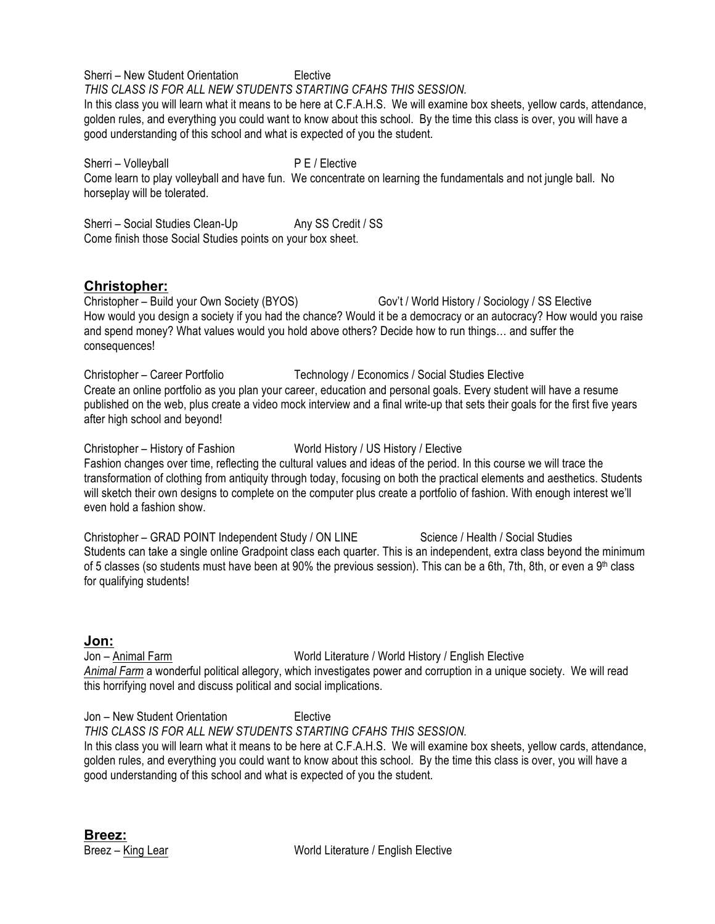Sherri – New Student Orientation Elective *THIS CLASS IS FOR ALL NEW STUDENTS STARTING CFAHS THIS SESSION.*

In this class you will learn what it means to be here at C.F.A.H.S. We will examine box sheets, yellow cards, attendance, golden rules, and everything you could want to know about this school. By the time this class is over, you will have a good understanding of this school and what is expected of you the student.

Sherri – Volleyball P E / Elective Come learn to play volleyball and have fun. We concentrate on learning the fundamentals and not jungle ball. No horseplay will be tolerated.

Sherri – Social Studies Clean-Up Any SS Credit / SS Come finish those Social Studies points on your box sheet.

# **Christopher:**

Christopher – Build your Own Society (BYOS) Gov't / World History / Sociology / SS Elective How would you design a society if you had the chance? Would it be a democracy or an autocracy? How would you raise and spend money? What values would you hold above others? Decide how to run things… and suffer the consequences!

Christopher – Career Portfolio Technology / Economics / Social Studies Elective Create an online portfolio as you plan your career, education and personal goals. Every student will have a resume published on the web, plus create a video mock interview and a final write-up that sets their goals for the first five years after high school and beyond!

Christopher – History of Fashion World History / US History / Elective Fashion changes over time, reflecting the cultural values and ideas of the period. In this course we will trace the transformation of clothing from antiquity through today, focusing on both the practical elements and aesthetics. Students will sketch their own designs to complete on the computer plus create a portfolio of fashion. With enough interest we'll even hold a fashion show.

Christopher – GRAD POINT Independent Study / ON LINE Science / Health / Social Studies Students can take a single online Gradpoint class each quarter. This is an independent, extra class beyond the minimum of 5 classes (so students must have been at 90% the previous session). This can be a 6th, 7th, 8th, or even a 9<sup>th</sup> class for qualifying students!

# **Jon:**

Jon – Animal Farm World Literature / World History / English Elective *Animal Farm* a wonderful political allegory, which investigates power and corruption in a unique society. We will read this horrifying novel and discuss political and social implications.

Jon – New Student Orientation Elective

*THIS CLASS IS FOR ALL NEW STUDENTS STARTING CFAHS THIS SESSION.*

In this class you will learn what it means to be here at C.F.A.H.S. We will examine box sheets, yellow cards, attendance, golden rules, and everything you could want to know about this school. By the time this class is over, you will have a good understanding of this school and what is expected of you the student.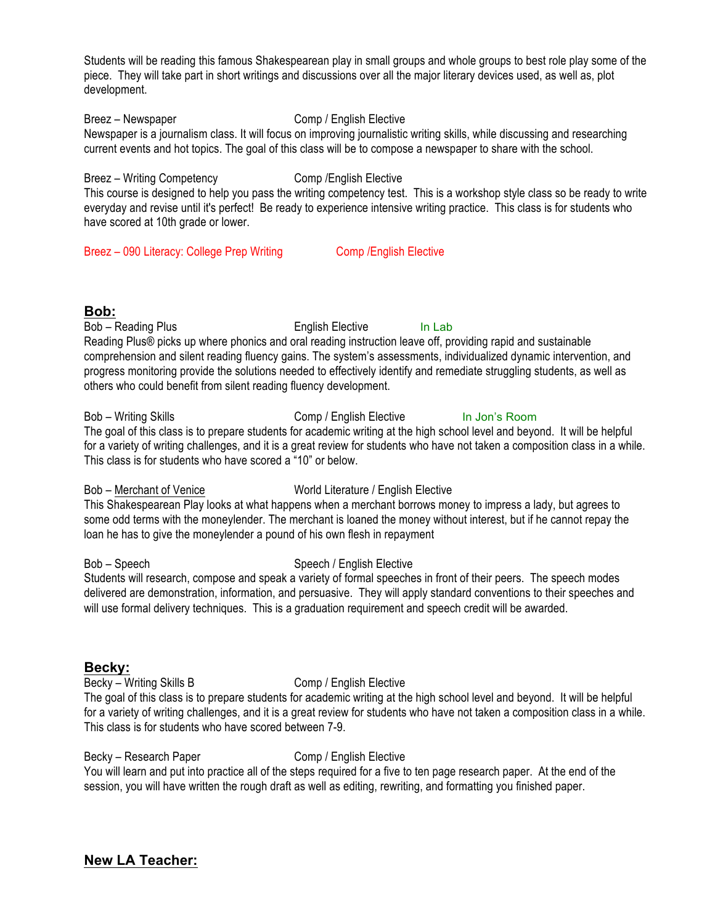Students will be reading this famous Shakespearean play in small groups and whole groups to best role play some of the piece. They will take part in short writings and discussions over all the major literary devices used, as well as, plot development.

Breez – Newspaper Comp / English Elective Newspaper is a journalism class. It will focus on improving journalistic writing skills, while discussing and researching current events and hot topics. The goal of this class will be to compose a newspaper to share with the school.

Breez – Writing Competency Comp / English Elective This course is designed to help you pass the writing competency test. This is a workshop style class so be ready to write everyday and revise until it's perfect! Be ready to experience intensive writing practice. This class is for students who have scored at 10th grade or lower.

Breez – 090 Literacy: College Prep Writing Comp / English Elective

# **Bob:**

Bob – Reading Plus **English Elective** In Lab Reading Plus® picks up where phonics and oral reading instruction leave off, providing rapid and sustainable comprehension and silent reading fluency gains. The system's assessments, individualized dynamic intervention, and progress monitoring provide the solutions needed to effectively identify and remediate struggling students, as well as others who could benefit from silent reading fluency development.

### Bob – Writing Skills Comp / English Elective In Jon's Room

The goal of this class is to prepare students for academic writing at the high school level and beyond. It will be helpful for a variety of writing challenges, and it is a great review for students who have not taken a composition class in a while. This class is for students who have scored a "10" or below.

# Bob – Merchant of Venice World Literature / English Elective

This Shakespearean Play looks at what happens when a merchant borrows money to impress a lady, but agrees to some odd terms with the moneylender. The merchant is loaned the money without interest, but if he cannot repay the loan he has to give the moneylender a pound of his own flesh in repayment

# Bob – Speech Speech Speech / English Elective

Students will research, compose and speak a variety of formal speeches in front of their peers. The speech modes delivered are demonstration, information, and persuasive. They will apply standard conventions to their speeches and will use formal delivery techniques. This is a graduation requirement and speech credit will be awarded.

# **Becky:**

Becky – Writing Skills B Comp / English Elective

The goal of this class is to prepare students for academic writing at the high school level and beyond. It will be helpful for a variety of writing challenges, and it is a great review for students who have not taken a composition class in a while. This class is for students who have scored between 7-9.

# Becky – Research Paper Comp / English Elective

You will learn and put into practice all of the steps required for a five to ten page research paper. At the end of the session, you will have written the rough draft as well as editing, rewriting, and formatting you finished paper.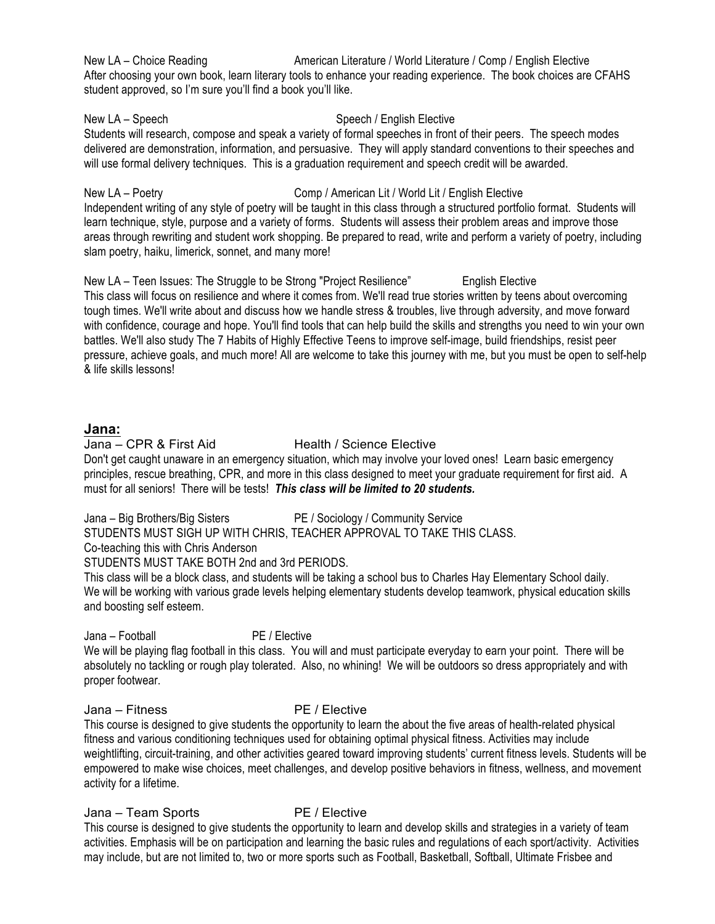New LA – Choice Reading **American Literature / World Literature / Comp / English Elective** After choosing your own book, learn literary tools to enhance your reading experience. The book choices are CFAHS student approved, so I'm sure you'll find a book you'll like.

New LA – Speech Speech Speech / English Elective

Students will research, compose and speak a variety of formal speeches in front of their peers. The speech modes delivered are demonstration, information, and persuasive. They will apply standard conventions to their speeches and will use formal delivery techniques. This is a graduation requirement and speech credit will be awarded.

New LA – Poetry **Comp / American Lit / World Lit / English Elective** 

Independent writing of any style of poetry will be taught in this class through a structured portfolio format. Students will learn technique, style, purpose and a variety of forms. Students will assess their problem areas and improve those areas through rewriting and student work shopping. Be prepared to read, write and perform a variety of poetry, including slam poetry, haiku, limerick, sonnet, and many more!

New LA – Teen Issues: The Struggle to be Strong "Project Resilience" English Elective This class will focus on resilience and where it comes from. We'll read true stories written by teens about overcoming tough times. We'll write about and discuss how we handle stress & troubles, live through adversity, and move forward with confidence, courage and hope. You'll find tools that can help build the skills and strengths you need to win your own battles. We'll also study The 7 Habits of Highly Effective Teens to improve self-image, build friendships, resist peer pressure, achieve goals, and much more! All are welcome to take this journey with me, but you must be open to self-help & life skills lessons!

# **Jana:**

# Jana – CPR & First Aid Health / Science Elective

Don't get caught unaware in an emergency situation, which may involve your loved ones! Learn basic emergency principles, rescue breathing, CPR, and more in this class designed to meet your graduate requirement for first aid. A must for all seniors! There will be tests! *This class will be limited to 20 students.*

Jana – Big Brothers/Big Sisters PE / Sociology / Community Service STUDENTS MUST SIGH UP WITH CHRIS, TEACHER APPROVAL TO TAKE THIS CLASS.

Co-teaching this with Chris Anderson

STUDENTS MUST TAKE BOTH 2nd and 3rd PERIODS.

This class will be a block class, and students will be taking a school bus to Charles Hay Elementary School daily. We will be working with various grade levels helping elementary students develop teamwork, physical education skills and boosting self esteem.

Jana – Football PE / Elective

We will be playing flag football in this class. You will and must participate everyday to earn your point. There will be absolutely no tackling or rough play tolerated. Also, no whining! We will be outdoors so dress appropriately and with proper footwear.

Jana – Fitness PE / Elective

This course is designed to give students the opportunity to learn the about the five areas of health-related physical fitness and various conditioning techniques used for obtaining optimal physical fitness. Activities may include weightlifting, circuit-training, and other activities geared toward improving students' current fitness levels. Students will be empowered to make wise choices, meet challenges, and develop positive behaviors in fitness, wellness, and movement activity for a lifetime.

Jana – Team Sports PE / Elective

This course is designed to give students the opportunity to learn and develop skills and strategies in a variety of team activities. Emphasis will be on participation and learning the basic rules and regulations of each sport/activity. Activities may include, but are not limited to, two or more sports such as Football, Basketball, Softball, Ultimate Frisbee and